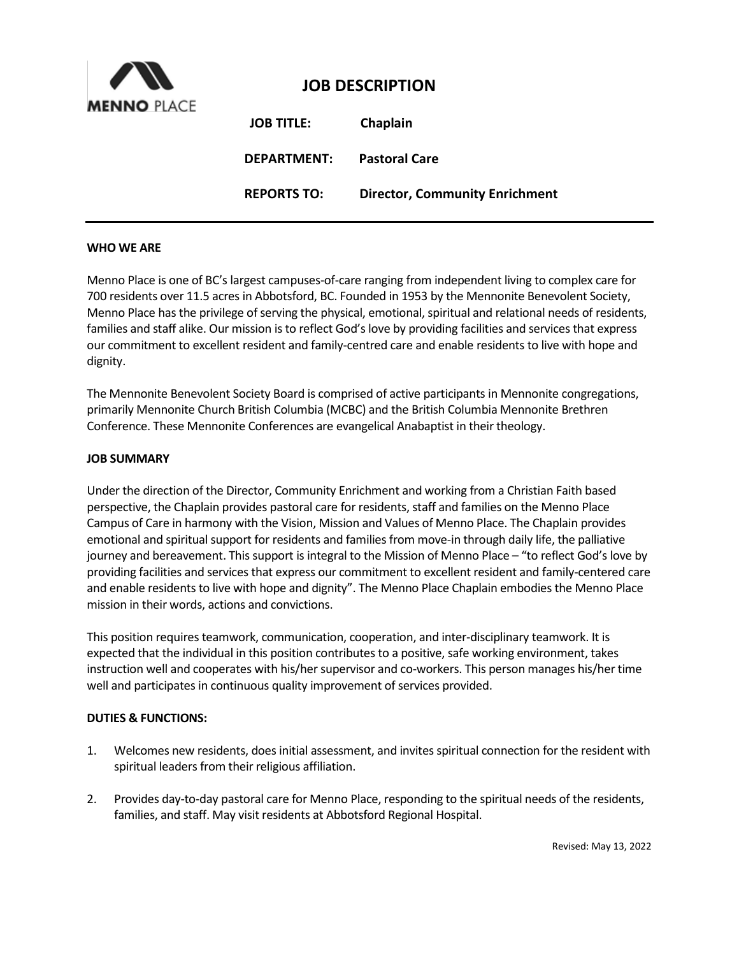

# **JOB DESCRIPTION**

| <b>JOB TITLE:</b>  | Chaplain                              |
|--------------------|---------------------------------------|
| DEPARTMENT:        | <b>Pastoral Care</b>                  |
| <b>REPORTS TO:</b> | <b>Director, Community Enrichment</b> |

#### **WHO WE ARE**

Menno Place is one of BC's largest campuses-of-care ranging from independent living to complex care for 700 residents over 11.5 acres in Abbotsford, BC. Founded in 1953 by the Mennonite Benevolent Society, Menno Place has the privilege of serving the physical, emotional, spiritual and relational needs of residents, families and staff alike. Our mission is to reflect God's love by providing facilities and services that express our commitment to excellent resident and family-centred care and enable residents to live with hope and dignity.

The Mennonite Benevolent Society Board is comprised of active participants in Mennonite congregations, primarily Mennonite Church British Columbia (MCBC) and the British Columbia Mennonite Brethren Conference. These Mennonite Conferences are evangelical Anabaptist in their theology.

#### **JOB SUMMARY**

Under the direction of the Director, Community Enrichment and working from a Christian Faith based perspective, the Chaplain provides pastoral care for residents, staff and families on the Menno Place Campus of Care in harmony with the Vision, Mission and Values of Menno Place. The Chaplain provides emotional and spiritual support for residents and families from move-in through daily life, the palliative journey and bereavement. This support is integral to the Mission of Menno Place – "to reflect God's love by providing facilities and services that express our commitment to excellent resident and family-centered care and enable residents to live with hope and dignity". The Menno Place Chaplain embodies the Menno Place mission in their words, actions and convictions.

This position requires teamwork, communication, cooperation, and inter-disciplinary teamwork. It is expected that the individual in this position contributes to a positive, safe working environment, takes instruction well and cooperates with his/her supervisor and co-workers. This person manages his/her time well and participates in continuous quality improvement of services provided.

#### **DUTIES & FUNCTIONS:**

- 1. Welcomes new residents, does initial assessment, and invites spiritual connection for the resident with spiritual leaders from their religious affiliation.
- 2. Provides day-to-day pastoral care for Menno Place, responding to the spiritual needs of the residents, families, and staff. May visit residents at Abbotsford Regional Hospital.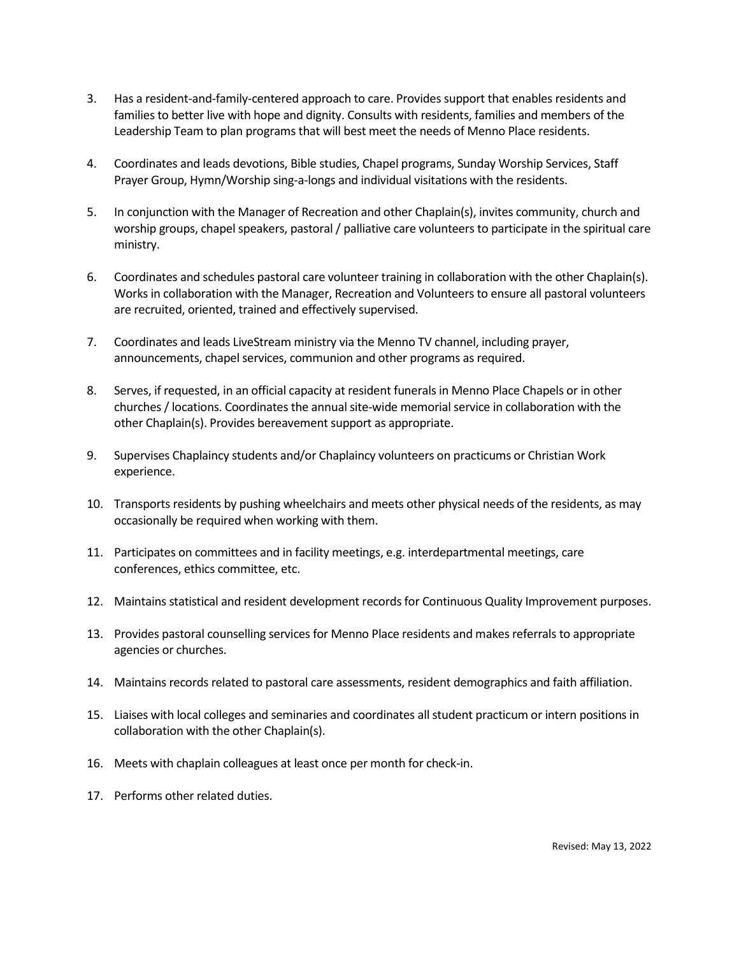- 3. Has a resident-and-family-centered approach to care. Provides support that enables residents and families to better live with hope and dignity. Consults with residents, families and members of the Leadership Team to plan programs that will best meet the needs of Menno Place residents.
- 4. Coordinates and leads devotions, Bible studies, Chapel programs, Sunday Worship Services, Staff Prayer Group, Hymn/Worship sing-a-longs and individual visitations with the residents.
- 5. In conjunction with the Manager of Recreation and other Chaplain(s), invites community, church and worship groups, chapel speakers, pastoral/ palliative care volunteers to participate in the spiritual care ministry.
- 6. Coordinates and schedules pastoral care volunteer training in collaboration with the other Chaplain(s). Works in collaboration with the Manager, Recreation and Volunteers to ensure all pastoral volunteers are recruited, oriented, trained and effectively supervised.
- 7. Coordinates and leads LiveStream ministry via the Menno TV channel, including prayer, announcements, chapel services, communion and other programs as required.
- 8. Serves, if requested, in an official capacity at resident funerals in Menno Place Chapels or in other churches / locations. Coordinates the annual site-wide memorial service in collaboration with the other Chaplain(s). Provides bereavement support as appropriate.
- 9. Supervises Chaplaincy students and/or Chaplaincy volunteers on practicums or Christian Work experience.
- 10. Transports residents by pushing wheelchairs and meets other physical needs of the residents, as may occasionally be required when working with them.
- 11. Participates on committees and in facility meetings, e.g. interdepartmental meetings, care conferences, ethics committee, etc.
- 12. Maintains statistical and resident development records for Continuous Quality Improvement purposes.
- 13. Provides pastoral counselling services for Menno Place residents and makes referrals to appropriate agencies or churches.
- 14. Maintains records related to pastoral care assessments, resident demographics and faith affiliation.
- 15. Liaises with local colleges and seminaries and coordinates all student practicum or intern positions in collaboration with the other Chaplain(s).
- 16. Meets with chaplain colleagues at least once per month for check-in.
- 17. Performs other related duties.